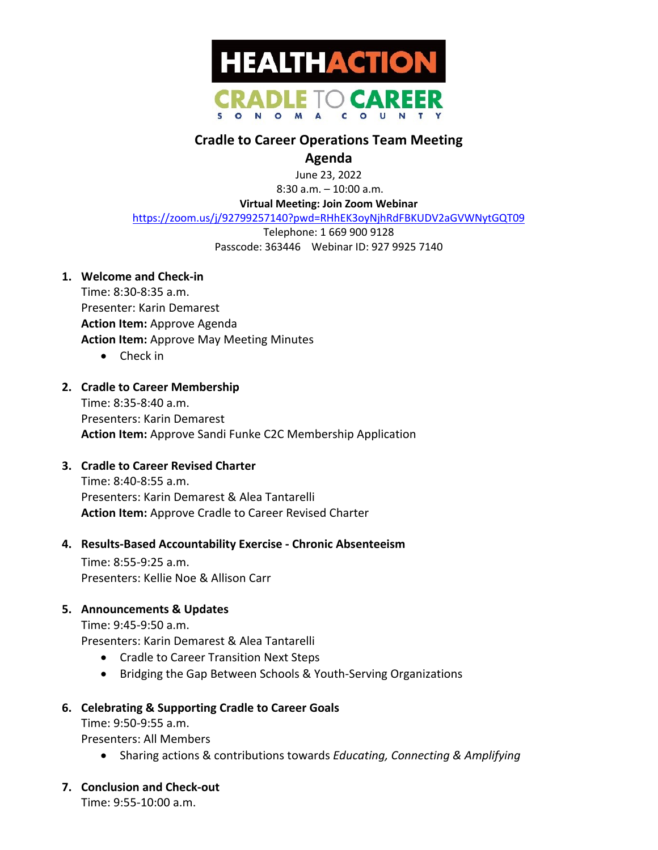

# **Cradle to Career Operations Team Meeting**

## **Agenda**

June 23, 2022

8:30 a.m. – 10:00 a.m.

**Virtual Meeting: Join Zoom Webinar**

https://zoom.us/j/92799257140?pwd=RHhEK3oyNjhRdFBKUDV2aGVWNytGQT09

Telephone: 1 669 900 9128 Passcode: 363446 Webinar ID: 927 9925 7140

**1. Welcome and Check-in**

Time: 8:30-8:35 a.m. Presenter: Karin Demarest **Action Item:** Approve Agenda **Action Item:** Approve May Meeting Minutes

• Check in

### **2. Cradle to Career Membership**

Time: 8:35-8:40 a.m. Presenters: Karin Demarest **Action Item:** Approve Sandi Funke C2C Membership Application

### **3. Cradle to Career Revised Charter**

Time: 8:40-8:55 a.m. Presenters: Karin Demarest & Alea Tantarelli **Action Item:** Approve Cradle to Career Revised Charter

#### **4. Results-Based Accountability Exercise - Chronic Absenteeism**

Time: 8:55-9:25 a.m. Presenters: Kellie Noe & Allison Carr

### **5. Announcements & Updates**

Time: 9:45-9:50 a.m. Presenters: Karin Demarest & Alea Tantarelli

- Cradle to Career Transition Next Steps
- Bridging the Gap Between Schools & Youth-Serving Organizations

### **6. Celebrating & Supporting Cradle to Career Goals**

Time: 9:50-9:55 a.m. Presenters: All Members

- Sharing actions & contributions towards *Educating, Connecting & Amplifying*
- **7. Conclusion and Check-out**

Time: 9:55-10:00 a.m.